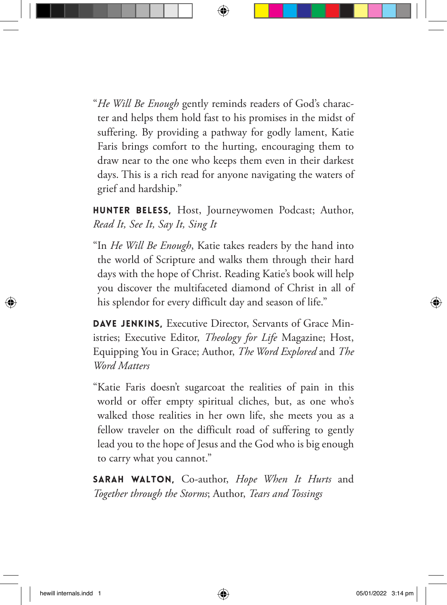"*He Will Be Enough* gently reminds readers of God's character and helps them hold fast to his promises in the midst of suffering. By providing a pathway for godly lament, Katie Faris brings comfort to the hurting, encouraging them to draw near to the one who keeps them even in their darkest days. This is a rich read for anyone navigating the waters of grief and hardship."

HUNTER BELESS, Host, Journeywomen Podcast; Author, *Read It, See It, Say It, Sing It*

"In *He Will Be Enough*, Katie takes readers by the hand into the world of Scripture and walks them through their hard days with the hope of Christ. Reading Katie's book will help you discover the multifaceted diamond of Christ in all of his splendor for every difficult day and season of life."

DAVE JENKINS, Executive Director, Servants of Grace Ministries; Executive Editor, *Theology for Life* Magazine; Host, Equipping You in Grace; Author, *The Word Explored* and *The Word Matters* 

"Katie Faris doesn't sugarcoat the realities of pain in this world or offer empty spiritual cliches, but, as one who's walked those realities in her own life, she meets you as a fellow traveler on the difficult road of suffering to gently lead you to the hope of Jesus and the God who is big enough to carry what you cannot."

SARAH WALTON, Co-author, *Hope When It Hurts* and *Together through the Storms*; Author, *Tears and Tossings*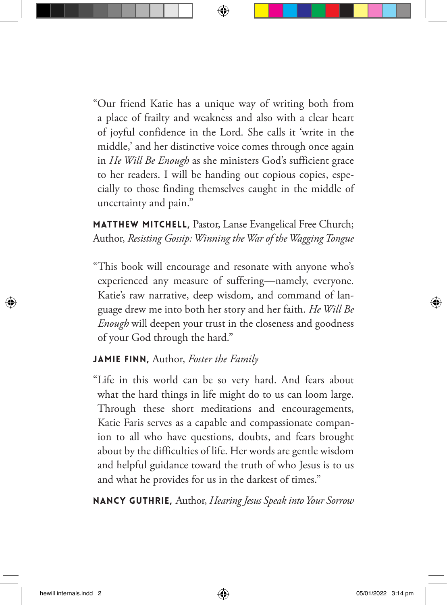"Our friend Katie has a unique way of writing both from a place of frailty and weakness and also with a clear heart of joyful confidence in the Lord. She calls it 'write in the middle,' and her distinctive voice comes through once again in *He Will Be Enough* as she ministers God's sufficient grace to her readers. I will be handing out copious copies, especially to those finding themselves caught in the middle of uncertainty and pain."

MATTHEW MITCHELL, Pastor, Lanse Evangelical Free Church; Author, *Resisting Gossip: Winning the War of the Wagging Tongue*

"This book will encourage and resonate with anyone who's experienced any measure of suffering—namely, everyone. Katie's raw narrative, deep wisdom, and command of language drew me into both her story and her faith. *He Will Be Enough* will deepen your trust in the closeness and goodness of your God through the hard."

## JAMIE FINN, Author, *Foster the Family*

"Life in this world can be so very hard. And fears about what the hard things in life might do to us can loom large. Through these short meditations and encouragements, Katie Faris serves as a capable and compassionate companion to all who have questions, doubts, and fears brought about by the difficulties of life. Her words are gentle wisdom and helpful guidance toward the truth of who Jesus is to us and what he provides for us in the darkest of times."

NANCY GUTHRIE, Author, *Hearing Jesus Speak into Your Sorrow*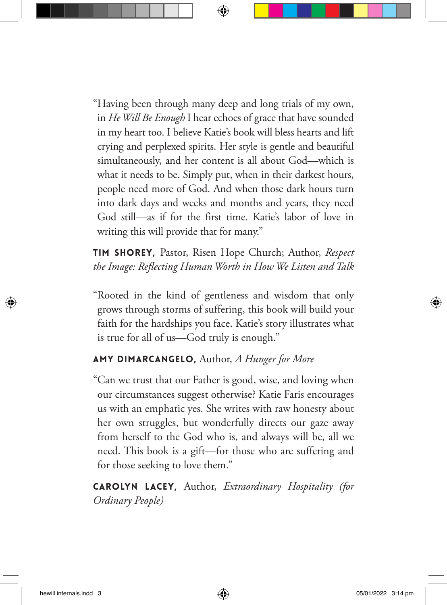"Having been through many deep and long trials of my own, in *He Will Be Enough* I hear echoes of grace that have sounded in my heart too. I believe Katie's book will bless hearts and lift crying and perplexed spirits. Her style is gentle and beautiful simultaneously, and her content is all about God—which is what it needs to be. Simply put, when in their darkest hours, people need more of God. And when those dark hours turn into dark days and weeks and months and years, they need God still—as if for the first time. Katie's labor of love in writing this will provide that for many."

TIM SHOREY, Pastor, Risen Hope Church; Author, *Respect the Image: Reflecting Human Worth in How We Listen and Talk*

"Rooted in the kind of gentleness and wisdom that only grows through storms of suffering, this book will build your faith for the hardships you face. Katie's story illustrates what is true for all of us—God truly is enough."

## AMY DIMARCANGELO, Author, *A Hunger for More*

"Can we trust that our Father is good, wise, and loving when our circumstances suggest otherwise? Katie Faris encourages us with an emphatic yes. She writes with raw honesty about her own struggles, but wonderfully directs our gaze away from herself to the God who is, and always will be, all we need. This book is a gift—for those who are suffering and for those seeking to love them."

CAROLYN LACEY, Author, *Extraordinary Hospitality (for Ordinary People)*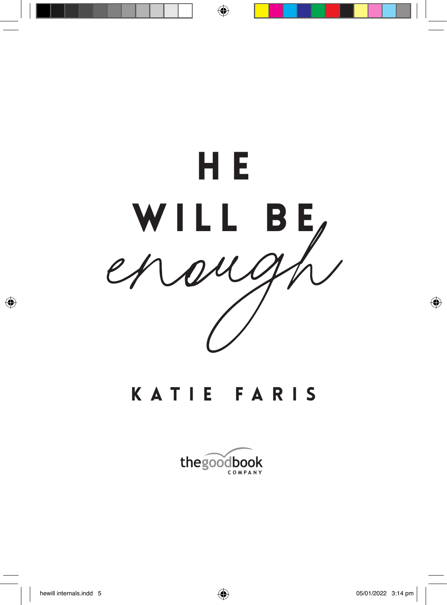

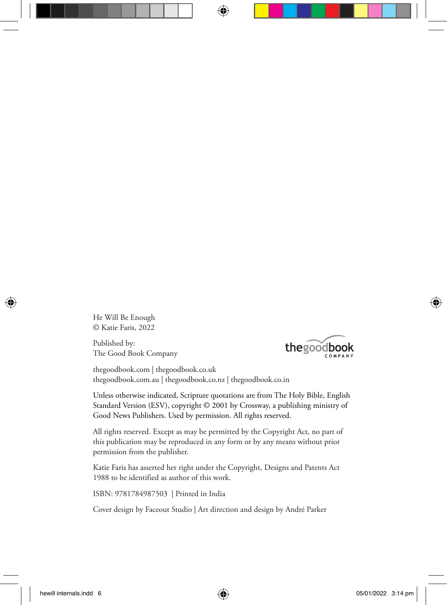He Will Be Enough © Katie Faris, 2022

Published by: The Good Book Company



thegoodbook.com | thegoodbook.co.uk thegoodbook.com.au | thegoodbook.co.nz | thegoodbook.co.in

Unless otherwise indicated, Scripture quotations are from The Holy Bible, English Standard Version (ESV), copyright © 2001 by Crossway, a publishing ministry of Good News Publishers. Used by permission. All rights reserved.

All rights reserved. Except as may be permitted by the Copyright Act, no part of this publication may be reproduced in any form or by any means without prior permission from the publisher.

Katie Faris has asserted her right under the Copyright, Designs and Patents Act 1988 to be identified as author of this work.

ISBN: 9781784987503 | Printed in India

Cover design by Faceout Studio | Art direction and design by André Parker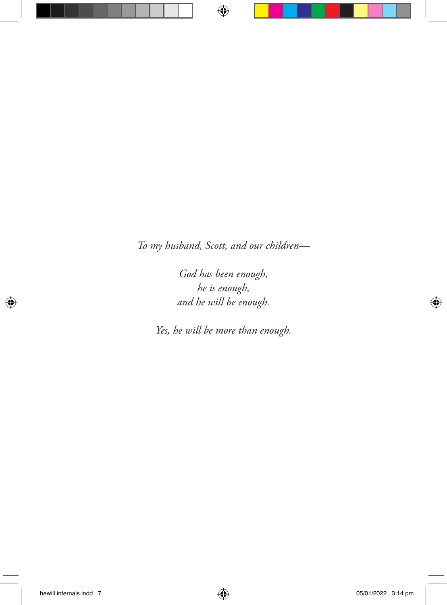*To my husband, Scott, and our children—*

*God has been enough, he is enough, and he will be enough.*

*Yes, he will be more than enough.*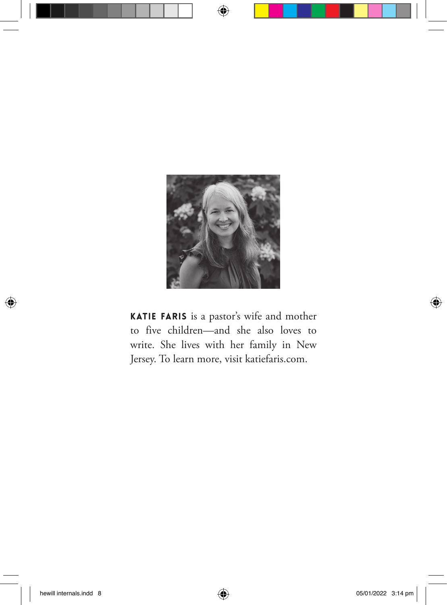

KATIE FARIS is a pastor's wife and mother to five children—and she also loves to write. She lives with her family in New Jersey. To learn more, visit katiefaris.com.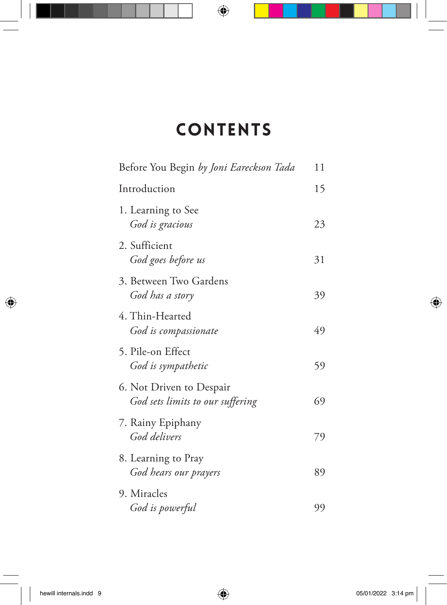# **CONTENTS**

| Before You Begin by Joni Eareckson Tada                      | 11 |
|--------------------------------------------------------------|----|
| Introduction                                                 | 15 |
| 1. Learning to See<br>God is gracious                        | 23 |
| 2. Sufficient<br>God goes before us                          | 31 |
| 3. Between Two Gardens<br>God has a story                    | 39 |
| 4. Thin-Hearted<br>God is compassionate                      | 49 |
| 5. Pile-on Effect<br>God is sympathetic                      | 59 |
| 6. Not Driven to Despair<br>God sets limits to our suffering | 69 |
| 7. Rainy Epiphany<br>God delivers                            | 79 |
| 8. Learning to Pray<br>God hears our prayers                 | 89 |
| 9. Miracles<br>God is powerful                               | 99 |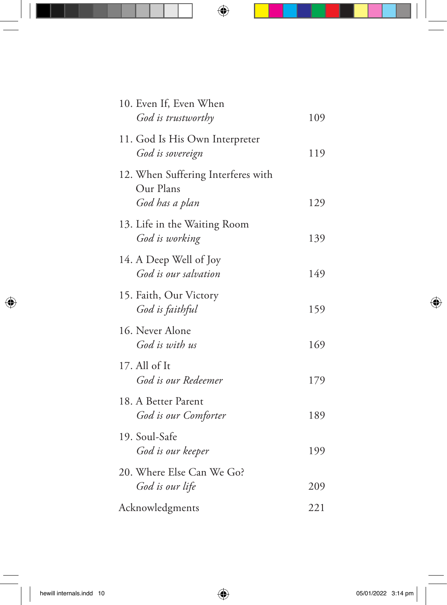| 10. Even If, Even When<br>God is trustworthy                      | 109 |
|-------------------------------------------------------------------|-----|
| 11. God Is His Own Interpreter<br>God is sovereign                | 119 |
| 12. When Suffering Interferes with<br>Our Plans<br>God has a plan | 129 |
| 13. Life in the Waiting Room<br>God is working                    | 139 |
| 14. A Deep Well of Joy<br>God is our salvation                    | 149 |
| 15. Faith, Our Victory<br>God is faithful                         | 159 |
| 16. Never Alone<br>God is with us                                 | 169 |
| 17. All of It<br>God is our Redeemer                              | 179 |
| 18. A Better Parent<br>God is our Comforter                       | 189 |
| 19. Soul-Safe<br>God is our keeper                                | 199 |
| 20. Where Else Can We Go?<br>God is our life                      | 209 |
| Acknowledgments                                                   | 221 |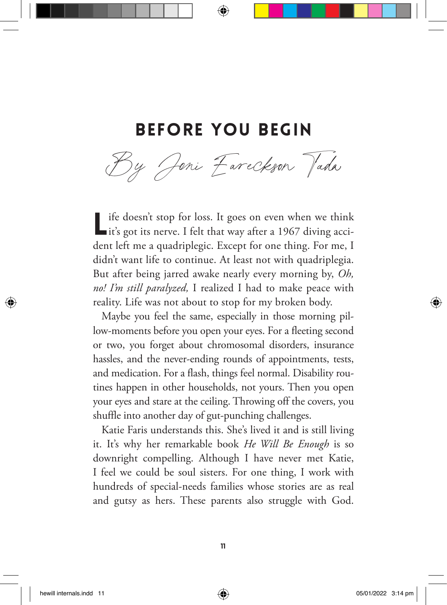## Before you begin

By Joni Eareckson Jada

If if doesn't stop for loss. It goes on even when we think it's got its nerve. I felt that way after a 1967 diving accident left me a quadriplegic. Except for one thing. For me, I didn't want life to continue. At least not with quadriplegia. But after being jarred awake nearly every morning by, *Oh, no! I'm still paralyzed,* I realized I had to make peace with reality. Life was not about to stop for my broken body.

Maybe you feel the same, especially in those morning pillow-moments before you open your eyes. For a fleeting second or two, you forget about chromosomal disorders, insurance hassles, and the never-ending rounds of appointments, tests, and medication. For a flash, things feel normal. Disability routines happen in other households, not yours. Then you open your eyes and stare at the ceiling. Throwing off the covers, you shuffle into another day of gut-punching challenges.

Katie Faris understands this. She's lived it and is still living it. It's why her remarkable book *He Will Be Enough* is so downright compelling. Although I have never met Katie, I feel we could be soul sisters. For one thing, I work with hundreds of special-needs families whose stories are as real and gutsy as hers. These parents also struggle with God.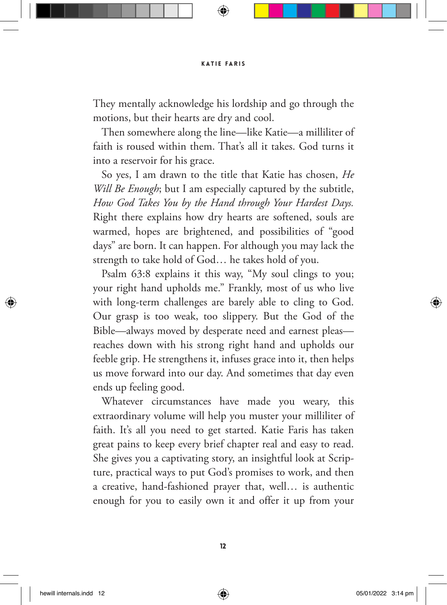They mentally acknowledge his lordship and go through the motions, but their hearts are dry and cool.

Then somewhere along the line—like Katie—a milliliter of faith is roused within them. That's all it takes. God turns it into a reservoir for his grace.

So yes, I am drawn to the title that Katie has chosen, *He Will Be Enough*; but I am especially captured by the subtitle, *How God Takes You by the Hand through Your Hardest Days.* Right there explains how dry hearts are softened, souls are warmed, hopes are brightened, and possibilities of "good days" are born. It can happen. For although you may lack the strength to take hold of God… he takes hold of you.

Psalm 63:8 explains it this way, "My soul clings to you; your right hand upholds me." Frankly, most of us who live with long-term challenges are barely able to cling to God. Our grasp is too weak, too slippery. But the God of the Bible—always moved by desperate need and earnest pleas reaches down with his strong right hand and upholds our feeble grip. He strengthens it, infuses grace into it, then helps us move forward into our day. And sometimes that day even ends up feeling good.

Whatever circumstances have made you weary, this extraordinary volume will help you muster your milliliter of faith. It's all you need to get started. Katie Faris has taken great pains to keep every brief chapter real and easy to read. She gives you a captivating story, an insightful look at Scripture, practical ways to put God's promises to work, and then a creative, hand-fashioned prayer that, well… is authentic enough for you to easily own it and offer it up from your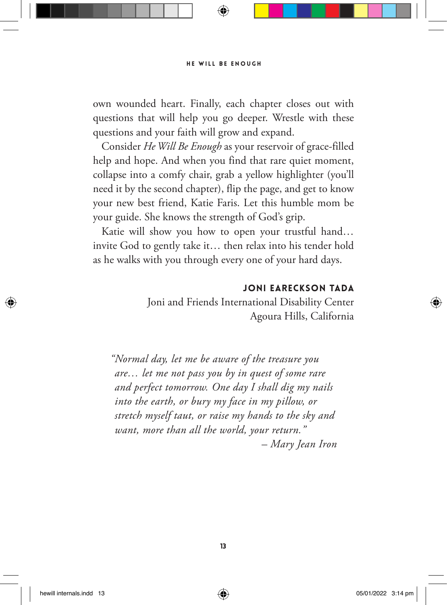own wounded heart. Finally, each chapter closes out with questions that will help you go deeper. Wrestle with these questions and your faith will grow and expand.

Consider *He Will Be Enough* as your reservoir of grace-filled help and hope. And when you find that rare quiet moment, collapse into a comfy chair, grab a yellow highlighter (you'll need it by the second chapter), flip the page, and get to know your new best friend, Katie Faris. Let this humble mom be your guide. She knows the strength of God's grip.

Katie will show you how to open your trustful hand… invite God to gently take it… then relax into his tender hold as he walks with you through every one of your hard days.

### JONI EARECKSON TADA

Joni and Friends International Disability Center Agoura Hills, California

*"Normal day, let me be aware of the treasure you are… let me not pass you by in quest of some rare and perfect tomorrow. One day I shall dig my nails into the earth, or bury my face in my pillow, or stretch myself taut, or raise my hands to the sky and want, more than all the world, your return." – Mary Jean Iron*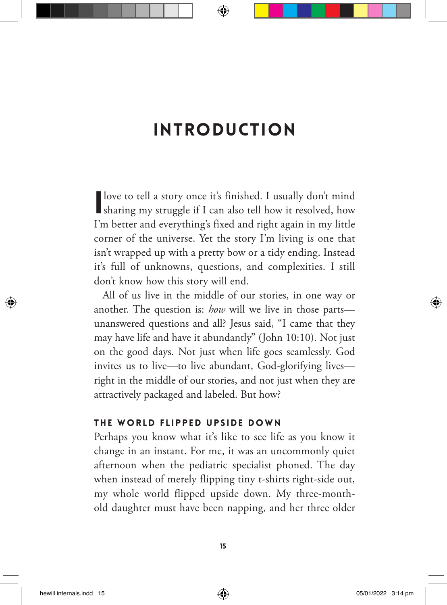## Introduction

I love to tell a story once it's finished. I usually don't mind sharing my struggle if I can also tell how it resolved, how I'm better and everything's fixed and right again in my little corner of the universe. Yet the story I'm living is one that isn't wrapped up with a pretty bow or a tidy ending. Instead it's full of unknowns, questions, and complexities. I still don't know how this story will end.

All of us live in the middle of our stories, in one way or another. The question is: *how* will we live in those parts unanswered questions and all? Jesus said, "I came that they may have life and have it abundantly" (John 10:10). Not just on the good days. Not just when life goes seamlessly. God invites us to live—to live abundant, God-glorifying lives right in the middle of our stories, and not just when they are attractively packaged and labeled. But how?

#### THE WORLD FLIPPED UPSIDE DOWN

Perhaps you know what it's like to see life as you know it change in an instant. For me, it was an uncommonly quiet afternoon when the pediatric specialist phoned. The day when instead of merely flipping tiny t-shirts right-side out, my whole world flipped upside down. My three-monthold daughter must have been napping, and her three older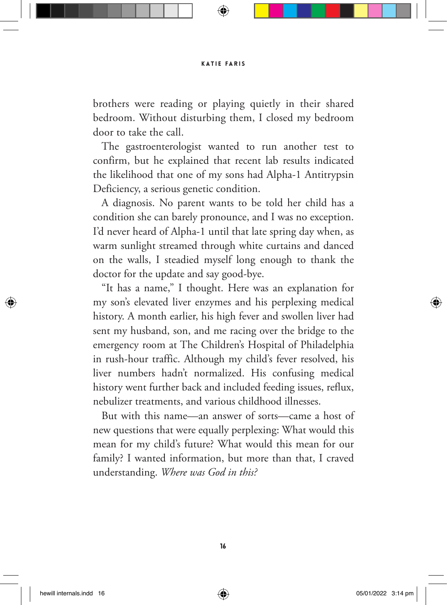brothers were reading or playing quietly in their shared bedroom. Without disturbing them, I closed my bedroom door to take the call.

The gastroenterologist wanted to run another test to confirm, but he explained that recent lab results indicated the likelihood that one of my sons had Alpha-1 Antitrypsin Deficiency, a serious genetic condition.

A diagnosis. No parent wants to be told her child has a condition she can barely pronounce, and I was no exception. I'd never heard of Alpha-1 until that late spring day when, as warm sunlight streamed through white curtains and danced on the walls, I steadied myself long enough to thank the doctor for the update and say good-bye.

"It has a name," I thought. Here was an explanation for my son's elevated liver enzymes and his perplexing medical history. A month earlier, his high fever and swollen liver had sent my husband, son, and me racing over the bridge to the emergency room at The Children's Hospital of Philadelphia in rush-hour traffic. Although my child's fever resolved, his liver numbers hadn't normalized. His confusing medical history went further back and included feeding issues, reflux, nebulizer treatments, and various childhood illnesses.

But with this name—an answer of sorts—came a host of new questions that were equally perplexing: What would this mean for my child's future? What would this mean for our family? I wanted information, but more than that, I craved understanding. *Where was God in this?*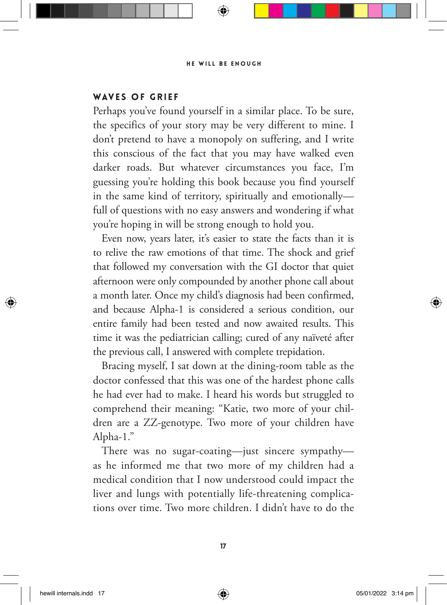### WAVES OF GRIFF

Perhaps you've found yourself in a similar place. To be sure, the specifics of your story may be very different to mine. I don't pretend to have a monopoly on suffering, and I write this conscious of the fact that you may have walked even darker roads. But whatever circumstances you face, I'm guessing you're holding this book because you find yourself in the same kind of territory, spiritually and emotionally full of questions with no easy answers and wondering if what you're hoping in will be strong enough to hold you.

Even now, years later, it's easier to state the facts than it is to relive the raw emotions of that time. The shock and grief that followed my conversation with the GI doctor that quiet afternoon were only compounded by another phone call about a month later. Once my child's diagnosis had been confirmed, and because Alpha-1 is considered a serious condition, our entire family had been tested and now awaited results. This time it was the pediatrician calling; cured of any naïveté after the previous call, I answered with complete trepidation.

Bracing myself, I sat down at the dining-room table as the doctor confessed that this was one of the hardest phone calls he had ever had to make. I heard his words but struggled to comprehend their meaning: "Katie, two more of your children are a ZZ-genotype. Two more of your children have Alpha-1."

There was no sugar-coating—just sincere sympathy as he informed me that two more of my children had a medical condition that I now understood could impact the liver and lungs with potentially life-threatening complications over time. Two more children. I didn't have to do the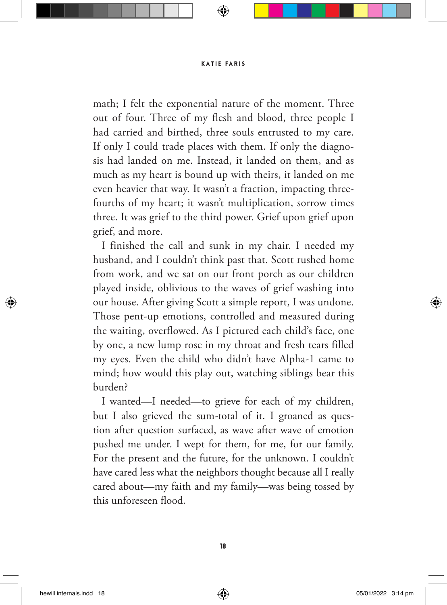math; I felt the exponential nature of the moment. Three out of four. Three of my flesh and blood, three people I had carried and birthed, three souls entrusted to my care. If only I could trade places with them. If only the diagnosis had landed on me. Instead, it landed on them, and as much as my heart is bound up with theirs, it landed on me even heavier that way. It wasn't a fraction, impacting threefourths of my heart; it wasn't multiplication, sorrow times three. It was grief to the third power. Grief upon grief upon grief, and more.

I finished the call and sunk in my chair. I needed my husband, and I couldn't think past that. Scott rushed home from work, and we sat on our front porch as our children played inside, oblivious to the waves of grief washing into our house. After giving Scott a simple report, I was undone. Those pent-up emotions, controlled and measured during the waiting, overflowed. As I pictured each child's face, one by one, a new lump rose in my throat and fresh tears filled my eyes. Even the child who didn't have Alpha-1 came to mind; how would this play out, watching siblings bear this burden?

I wanted—I needed—to grieve for each of my children, but I also grieved the sum-total of it. I groaned as question after question surfaced, as wave after wave of emotion pushed me under. I wept for them, for me, for our family. For the present and the future, for the unknown. I couldn't have cared less what the neighbors thought because all I really cared about—my faith and my family—was being tossed by this unforeseen flood.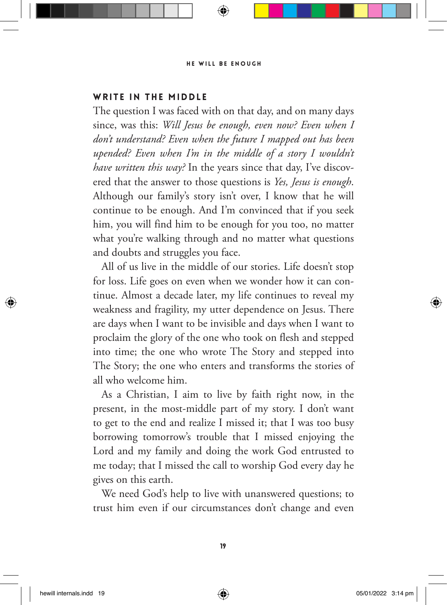### WRITE IN THE MIDDLE

The question I was faced with on that day, and on many days since, was this: *Will Jesus be enough, even now? Even when I don't understand? Even when the future I mapped out has been upended? Even when I'm in the middle of a story I wouldn't have written this way?* In the years since that day, I've discovered that the answer to those questions is *Yes, Jesus is enough*. Although our family's story isn't over, I know that he will continue to be enough. And I'm convinced that if you seek him, you will find him to be enough for you too, no matter what you're walking through and no matter what questions and doubts and struggles you face.

All of us live in the middle of our stories. Life doesn't stop for loss. Life goes on even when we wonder how it can continue. Almost a decade later, my life continues to reveal my weakness and fragility, my utter dependence on Jesus. There are days when I want to be invisible and days when I want to proclaim the glory of the one who took on flesh and stepped into time; the one who wrote The Story and stepped into The Story; the one who enters and transforms the stories of all who welcome him.

As a Christian, I aim to live by faith right now, in the present, in the most-middle part of my story. I don't want to get to the end and realize I missed it; that I was too busy borrowing tomorrow's trouble that I missed enjoying the Lord and my family and doing the work God entrusted to me today; that I missed the call to worship God every day he gives on this earth.

We need God's help to live with unanswered questions; to trust him even if our circumstances don't change and even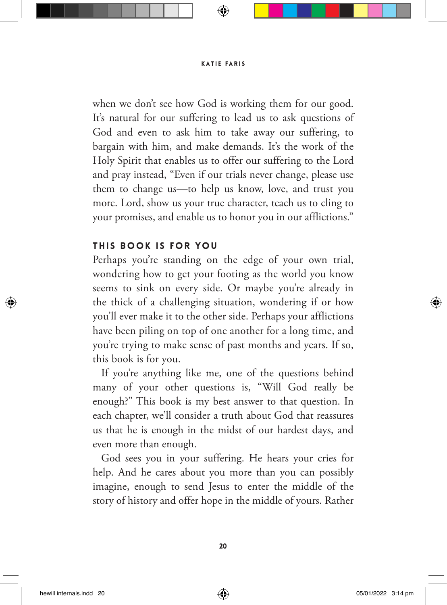when we don't see how God is working them for our good. It's natural for our suffering to lead us to ask questions of God and even to ask him to take away our suffering, to bargain with him, and make demands. It's the work of the Holy Spirit that enables us to offer our suffering to the Lord and pray instead, "Even if our trials never change, please use them to change us—to help us know, love, and trust you more. Lord, show us your true character, teach us to cling to your promises, and enable us to honor you in our afflictions."

### THIS BOOK IS FOR YOU

Perhaps you're standing on the edge of your own trial, wondering how to get your footing as the world you know seems to sink on every side. Or maybe you're already in the thick of a challenging situation, wondering if or how you'll ever make it to the other side. Perhaps your afflictions have been piling on top of one another for a long time, and you're trying to make sense of past months and years. If so, this book is for you.

If you're anything like me, one of the questions behind many of your other questions is, "Will God really be enough?" This book is my best answer to that question. In each chapter, we'll consider a truth about God that reassures us that he is enough in the midst of our hardest days, and even more than enough.

God sees you in your suffering. He hears your cries for help. And he cares about you more than you can possibly imagine, enough to send Jesus to enter the middle of the story of history and offer hope in the middle of yours. Rather